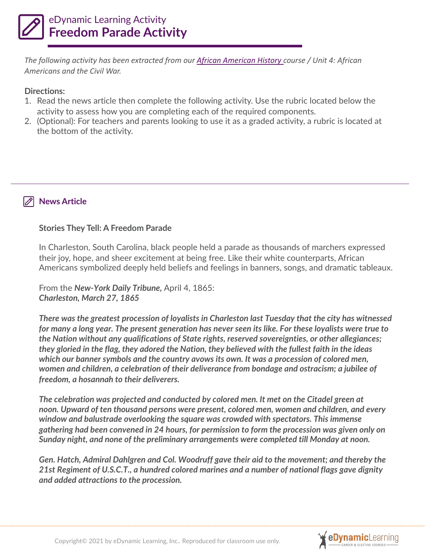

*The following activity has been extracted from our [African American History c](https://edynamiclearning.com/course/african-american-history-2/)ourse / Unit 4: African Americans and the Civil War.*

#### **Directions:**

- 1. Read the news article then complete the following activity. Use the rubric located below the activity to assess how you are completing each of the required components.
- 2. (Optional): For teachers and parents looking to use it as a graded activity, a rubric is located at the bottom of the activity.

### **News Article**

#### **Stories They Tell: A Freedom Parade**

In Charleston, South Carolina, black people held a parade as thousands of marchers expressed their joy, hope, and sheer excitement at being free. Like their white counterparts, African Americans symbolized deeply held beliefs and feelings in banners, songs, and dramatic tableaux.

From the *New-York Daily Tribune,* April 4, 1865: *Charleston, March 27, 1865*

*There was the greatest procession of loyalists in Charleston last Tuesday that the city has witnessed for many a long year. The present generation has never seen its like. For these loyalists were true to the Nation without any qualifications of State rights, reserved sovereignties, or other allegiances; they gloried in the flag, they adored the Nation, they believed with the fullest faith in the ideas which our banner symbols and the country avows its own. It was a procession of colored men, women and children, a celebration of their deliverance from bondage and ostracism; a jubilee of freedom, a hosannah to their deliverers.*

*The celebration was projected and conducted by colored men. It met on the Citadel green at noon. Upward of ten thousand persons were present, colored men, women and children, and every window and balustrade overlooking the square was crowded with spectators. This immense gathering had been convened in 24 hours, for permission to form the procession was given only on Sunday night, and none of the preliminary arrangements were completed till Monday at noon.*

*Gen. Hatch, Admiral Dahlgren and Col. Woodruff gave their aid to the movement; and thereby the 21st Regiment of U.S.C.T., a hundred colored marines and a number of national flags gave dignity and added attractions to the procession.*

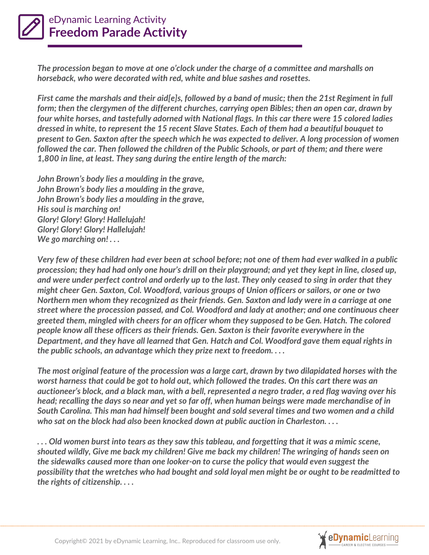

*The procession began to move at one o'clock under the charge of a committee and marshalls on horseback, who were decorated with red, white and blue sashes and rosettes.*

*First came the marshals and their aid[e]s, followed by a band of music; then the 21st Regiment in full form; then the clergymen of the different churches, carrying open Bibles; then an open car, drawn by four white horses, and tastefully adorned with National flags. In this car there were 15 colored ladies dressed in white, to represent the 15 recent Slave States. Each of them had a beautiful bouquet to present to Gen. Saxton after the speech which he was expected to deliver. A long procession of women followed the car. Then followed the children of the Public Schools, or part of them; and there were 1,800 in line, at least. They sang during the entire length of the march:*

*John Brown's body lies a moulding in the grave, John Brown's body lies a moulding in the grave, John Brown's body lies a moulding in the grave, His soul is marching on! Glory! Glory! Glory! Hallelujah! Glory! Glory! Glory! Hallelujah! We go marching on! . . .*

*Very few of these children had ever been at school before; not one of them had ever walked in a public procession; they had had only one hour's drill on their playground; and yet they kept in line, closed up, and were under perfect control and orderly up to the last. They only ceased to sing in order that they might cheer Gen. Saxton, Col. Woodford, various groups of Union officers or sailors, or one or two Northern men whom they recognized as their friends. Gen. Saxton and lady were in a carriage at one street where the procession passed, and Col. Woodford and lady at another; and one continuous cheer greeted them, mingled with cheers for an officer whom they supposed to be Gen. Hatch. The colored people know all these officers as their friends. Gen. Saxton is their favorite everywhere in the Department, and they have all learned that Gen. Hatch and Col. Woodford gave them equal rights in the public schools, an advantage which they prize next to freedom. . . .*

*The most original feature of the procession was a large cart, drawn by two dilapidated horses with the worst harness that could be got to hold out, which followed the trades. On this cart there was an auctioneer's block, and a black man, with a bell, represented a negro trader, a red flag waving over his head; recalling the days so near and yet so far off, when human beings were made merchandise of in South Carolina. This man had himself been bought and sold several times and two women and a child who sat on the block had also been knocked down at public auction in Charleston. . . .*

*. . . Old women burst into tears as they saw this tableau, and forgetting that it was a mimic scene, shouted wildly, Give me back my children! Give me back my children! The wringing of hands seen on the sidewalks caused more than one looker-on to curse the policy that would even suggest the possibility that the wretches who had bought and sold loyal men might be or ought to be readmitted to the rights of citizenship. . . .*

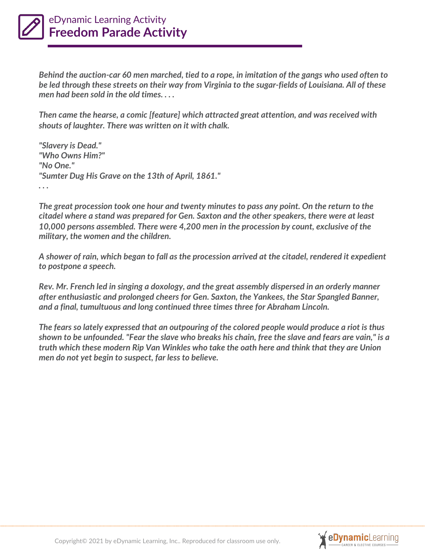

*Behind the auction-car 60 men marched, tied to a rope, in imitation of the gangs who used often to be led through these streets on their way from Virginia to the sugar-fields of Louisiana. All of these men had been sold in the old times. . . .*

*Then came the hearse, a comic [feature] which attracted great attention, and was received with shouts of laughter. There was written on it with chalk.*

*"Slavery is Dead." "Who Owns Him?" "No One." "Sumter Dug His Grave on the 13th of April, 1861." . . .*

*The great procession took one hour and twenty minutes to pass any point. On the return to the citadel where a stand was prepared for Gen. Saxton and the other speakers, there were at least 10,000 persons assembled. There were 4,200 men in the procession by count, exclusive of the military, the women and the children.*

*A shower of rain, which began to fall as the procession arrived at the citadel, rendered it expedient to postpone a speech.*

*Rev. Mr. French led in singing a doxology, and the great assembly dispersed in an orderly manner after enthusiastic and prolonged cheers for Gen. Saxton, the Yankees, the Star Spangled Banner, and a final, tumultuous and long continued three times three for Abraham Lincoln.*

*The fears so lately expressed that an outpouring of the colored people would produce a riot is thus shown to be unfounded. "Fear the slave who breaks his chain, free the slave and fears are vain," is a truth which these modern Rip Van Winkles who take the oath here and think that they are Union men do not yet begin to suspect, far less to believe.*